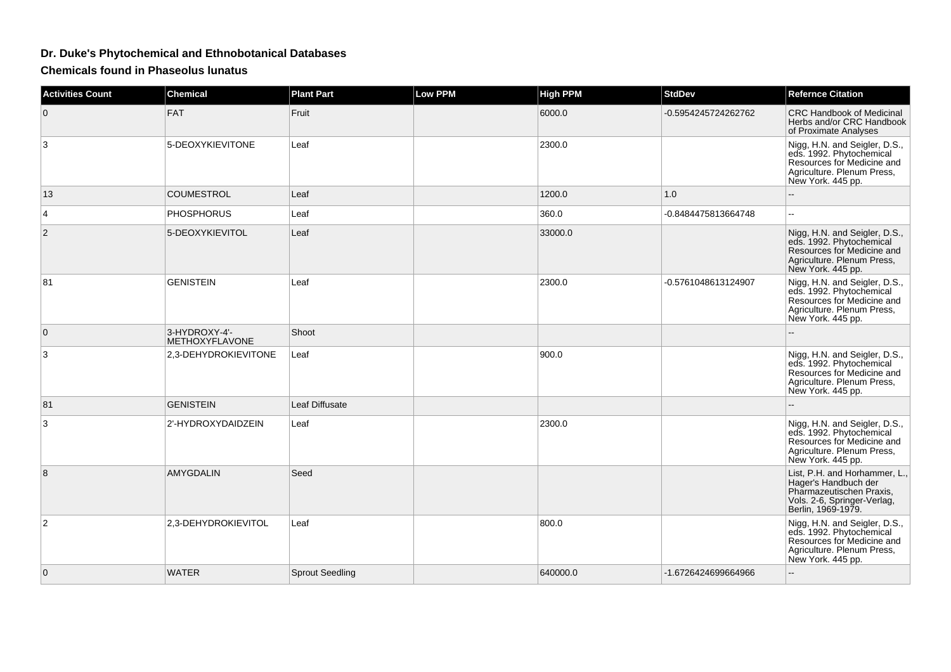## **Dr. Duke's Phytochemical and Ethnobotanical Databases**

**Chemicals found in Phaseolus lunatus**

| Activities Count | <b>Chemical</b>                        | <b>Plant Part</b>      | <b>Low PPM</b> | <b>High PPM</b> | <b>StdDev</b>       | <b>Refernce Citation</b>                                                                                                                   |
|------------------|----------------------------------------|------------------------|----------------|-----------------|---------------------|--------------------------------------------------------------------------------------------------------------------------------------------|
| $\mathbf 0$      | <b>FAT</b>                             | Fruit                  |                | 6000.0          | -0.5954245724262762 | CRC Handbook of Medicinal<br>Herbs and/or CRC Handbook<br>of Proximate Analyses                                                            |
| 3                | 5-DEOXYKIEVITONE                       | Leaf                   |                | 2300.0          |                     | Nigg, H.N. and Seigler, D.S.,<br>eds. 1992. Phytochemical<br>Resources for Medicine and<br>Agriculture. Plenum Press,<br>New York. 445 pp. |
| 13               | <b>COUMESTROL</b>                      | Leaf                   |                | 1200.0          | 1.0                 |                                                                                                                                            |
| 4                | <b>PHOSPHORUS</b>                      | Leaf                   |                | 360.0           | -0.8484475813664748 | --                                                                                                                                         |
| $\overline{2}$   | 5-DEOXYKIEVITOL                        | Leaf                   |                | 33000.0         |                     | Nigg, H.N. and Seigler, D.S.,<br>eds. 1992. Phytochemical<br>Resources for Medicine and<br>Agriculture. Plenum Press,<br>New York. 445 pp. |
| 81               | <b>GENISTEIN</b>                       | Leaf                   |                | 2300.0          | -0.5761048613124907 | Nigg, H.N. and Seigler, D.S.,<br>eds. 1992. Phytochemical<br>Resources for Medicine and<br>Agriculture. Plenum Press,<br>New York. 445 pp. |
| $\mathbf{0}$     | 3-HYDROXY-4'-<br><b>METHOXYFLAVONE</b> | Shoot                  |                |                 |                     |                                                                                                                                            |
| 3                | 2,3-DEHYDROKIEVITONE                   | Leaf                   |                | 900.0           |                     | Nigg, H.N. and Seigler, D.S.,<br>eds. 1992. Phytochemical<br>Resources for Medicine and<br>Agriculture. Plenum Press,<br>New York. 445 pp. |
| 81               | <b>GENISTEIN</b>                       | Leaf Diffusate         |                |                 |                     |                                                                                                                                            |
| 3                | 2'-HYDROXYDAIDZEIN                     | Leaf                   |                | 2300.0          |                     | Nigg, H.N. and Seigler, D.S.,<br>eds. 1992. Phytochemical<br>Resources for Medicine and<br>Agriculture. Plenum Press,<br>New York. 445 pp. |
| 8                | AMYGDALIN                              | Seed                   |                |                 |                     | List, P.H. and Horhammer, L.<br>Hager's Handbuch der<br>Pharmazeutischen Praxis,<br>Vols. 2-6, Springer-Verlag,<br>Berlin, 1969-1979.      |
| 2                | 2,3-DEHYDROKIEVITOL                    | Leaf                   |                | 800.0           |                     | Nigg, H.N. and Seigler, D.S., eds. 1992. Phytochemical<br>Resources for Medicine and<br>Agriculture. Plenum Press,<br>New York. 445 pp.    |
| $\mathbf{0}$     | <b>WATER</b>                           | <b>Sprout Seedling</b> |                | 640000.0        | -1.6726424699664966 | --                                                                                                                                         |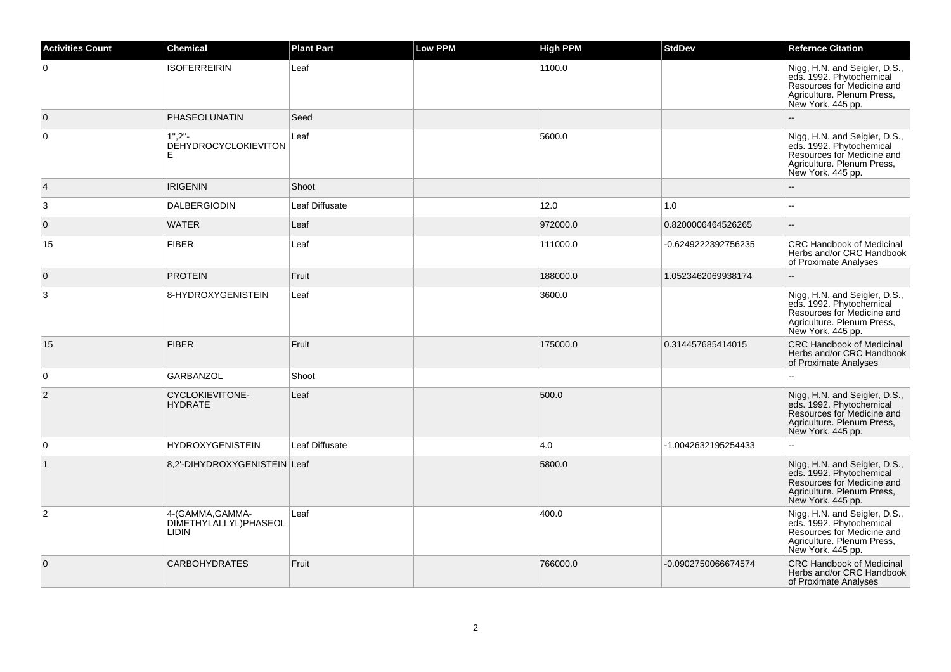| <b>Activities Count</b> | <b>Chemical</b>                                    | <b>Plant Part</b> | <b>Low PPM</b> | High PPM | <b>StdDev</b>       | <b>Refernce Citation</b>                                                                                                                   |
|-------------------------|----------------------------------------------------|-------------------|----------------|----------|---------------------|--------------------------------------------------------------------------------------------------------------------------------------------|
| $\overline{0}$          | <b>ISOFERREIRIN</b>                                | Leaf              |                | 1100.0   |                     | Nigg, H.N. and Seigler, D.S.,<br>eds. 1992. Phytochemical<br>Resources for Medicine and<br>Agriculture. Plenum Press,<br>New York. 445 pp. |
| $\overline{0}$          | PHASEOLUNATIN                                      | Seed              |                |          |                     |                                                                                                                                            |
| $\overline{0}$          | 1".2''.<br>DÉHYDROCYCLOKIEVITON<br>E               | Leaf              |                | 5600.0   |                     | Nigg, H.N. and Seigler, D.S.,<br>eds. 1992. Phytochemical<br>Resources for Medicine and<br>Agriculture. Plenum Press,<br>New York. 445 pp. |
| $\overline{4}$          | <b>IRIGENIN</b>                                    | Shoot             |                |          |                     |                                                                                                                                            |
| 3                       | <b>DALBERGIODIN</b>                                | Leaf Diffusate    |                | 12.0     | 1.0                 | $\sim$                                                                                                                                     |
| $\overline{0}$          | <b>WATER</b>                                       | Leaf              |                | 972000.0 | 0.8200006464526265  | $\overline{\phantom{a}}$                                                                                                                   |
| 15                      | <b>FIBER</b>                                       | Leaf              |                | 111000.0 | -0.6249222392756235 | <b>CRC Handbook of Medicinal</b><br>Herbs and/or CRC Handbook<br>of Proximate Analyses                                                     |
| $\overline{0}$          | <b>PROTEIN</b>                                     | Fruit             |                | 188000.0 | 1.0523462069938174  | ä.                                                                                                                                         |
| 3                       | 8-HYDROXYGENISTEIN                                 | Leaf              |                | 3600.0   |                     | Nigg, H.N. and Seigler, D.S., eds. 1992. Phytochemical<br>Resources for Medicine and<br>Agriculture. Plenum Press,<br>New York. 445 pp.    |
| 15                      | <b>FIBER</b>                                       | Fruit             |                | 175000.0 | 0.314457685414015   | <b>CRC Handbook of Medicinal</b><br>Herbs and/or CRC Handbook<br>of Proximate Analyses                                                     |
| $\overline{0}$          | <b>GARBANZOL</b>                                   | Shoot             |                |          |                     |                                                                                                                                            |
| 2                       | <b>CYCLOKIEVITONE-</b><br><b>HYDRATE</b>           | Leaf              |                | 500.0    |                     | Nigg, H.N. and Seigler, D.S.,<br>eds. 1992. Phytochemical<br>Resources for Medicine and<br>Agriculture. Plenum Press,<br>New York. 445 pp. |
| $\overline{0}$          | <b>HYDROXYGENISTEIN</b>                            | Leaf Diffusate    |                | 4.0      | -1.0042632195254433 | $\ddotsc$                                                                                                                                  |
| $\overline{1}$          | 8,2'-DIHYDROXYGENISTEIN Leaf                       |                   |                | 5800.0   |                     | Nigg, H.N. and Seigler, D.S.,<br>eds. 1992. Phytochemical<br>Resources for Medicine and<br>Agriculture. Plenum Press,<br>New York. 445 pp. |
| $\overline{2}$          | 4-(GAMMA, GAMMA-<br>DIMETHYLALLYL)PHASEOL<br>LIDIN | Leaf              |                | 400.0    |                     | Nigg, H.N. and Seigler, D.S., eds. 1992. Phytochemical<br>Resources for Medicine and<br>Agriculture. Plenum Press,<br>New York. 445 pp.    |
| $\overline{0}$          | <b>CARBOHYDRATES</b>                               | Fruit             |                | 766000.0 | -0.0902750066674574 | <b>CRC Handbook of Medicinal</b><br>Herbs and/or CRC Handbook<br>of Proximate Analyses                                                     |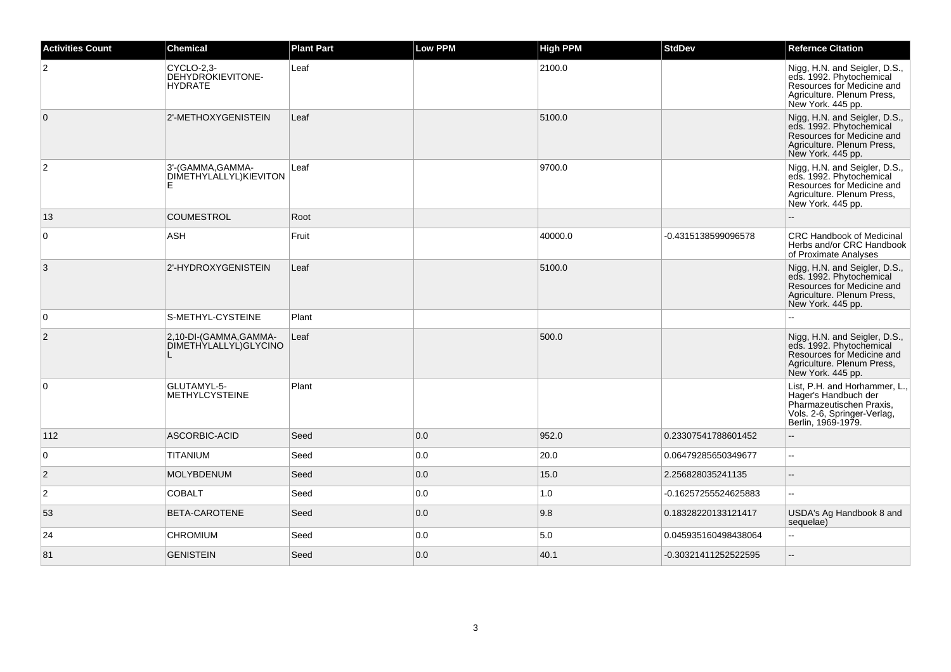| <b>Activities Count</b> | <b>Chemical</b>                                                 | <b>Plant Part</b> | <b>Low PPM</b> | <b>High PPM</b> | <b>StdDev</b>        | <b>Refernce Citation</b>                                                                                                                   |
|-------------------------|-----------------------------------------------------------------|-------------------|----------------|-----------------|----------------------|--------------------------------------------------------------------------------------------------------------------------------------------|
| $\overline{2}$          | CYCLO-2,3-<br>DEHYDROKIEVITONE-<br><b>HYDRATE</b>               | Leaf              |                | 2100.0          |                      | Nigg, H.N. and Seigler, D.S.,<br>eds. 1992. Phytochemical<br>Resources for Medicine and<br>Agriculture. Plenum Press,<br>New York. 445 pp. |
| $\overline{0}$          | 2'-METHOXYGENISTEIN                                             | Leaf              |                | 5100.0          |                      | Nigg, H.N. and Seigler, D.S.,<br>eds. 1992. Phytochemical<br>Resources for Medicine and<br>Agriculture. Plenum Press,<br>New York. 445 pp. |
| $\overline{2}$          | 3'-(GAMMA, GAMMA-<br>DIMETHYLALLYL)KIEVITON<br>Е                | Leaf              |                | 9700.0          |                      | Nigg, H.N. and Seigler, D.S., eds. 1992. Phytochemical<br>Resources for Medicine and<br>Agriculture. Plenum Press,<br>New York. 445 pp.    |
| 13                      | <b>COUMESTROL</b>                                               | Root              |                |                 |                      |                                                                                                                                            |
| $\overline{0}$          | <b>ASH</b>                                                      | Fruit             |                | 40000.0         | -0.4315138599096578  | CRC Handbook of Medicinal<br>Herbs and/or CRC Handbook<br>of Proximate Analyses                                                            |
| 3                       | 2'-HYDROXYGENISTEIN                                             | Leaf              |                | 5100.0          |                      | Nigg, H.N. and Seigler, D.S., eds. 1992. Phytochemical<br>Resources for Medicine and<br>Agriculture. Plenum Press,<br>New York. 445 pp.    |
| $\overline{0}$          | S-METHYL-CYSTEINE                                               | Plant             |                |                 |                      |                                                                                                                                            |
| $\overline{2}$          | 2,10-DI-(GAMMA,GAMMA-<br>DIMETHYLALLYL) GLYCINO<br>$\mathbf{I}$ | Leaf              |                | 500.0           |                      | Nigg, H.N. and Seigler, D.S., eds. 1992. Phytochemical<br>Resources for Medicine and<br>Agriculture. Plenum Press,<br>New York. 445 pp.    |
| $\overline{0}$          | GLUTAMYL-5-<br><b>METHYLCYSTEINE</b>                            | Plant             |                |                 |                      | List, P.H. and Horhammer, L.,<br>Hager's Handbuch der<br>Pharmazeutischen Praxis,<br>Vols. 2-6, Springer-Verlag,<br>Berlin, 1969-1979.     |
| 112                     | ASCORBIC-ACID                                                   | Seed              | 0.0            | 952.0           | 0.23307541788601452  |                                                                                                                                            |
| 0                       | <b>TITANIUM</b>                                                 | Seed              | 0.0            | 20.0            | 0.06479285650349677  |                                                                                                                                            |
| $\overline{2}$          | <b>MOLYBDENUM</b>                                               | Seed              | 0.0            | 15.0            | 2.256828035241135    |                                                                                                                                            |
| $\overline{2}$          | <b>COBALT</b>                                                   | Seed              | 0.0            | 1.0             | -0.16257255524625883 | --                                                                                                                                         |
| 53                      | BETA-CAROTENE                                                   | Seed              | 0.0            | 9.8             | 0.18328220133121417  | USDA's Ag Handbook 8 and<br>sequelae)                                                                                                      |
| 24                      | <b>CHROMIUM</b>                                                 | Seed              | 0.0            | 5.0             | 0.045935160498438064 |                                                                                                                                            |
| 81                      | <b>GENISTEIN</b>                                                | Seed              | 0.0            | 40.1            | -0.30321411252522595 |                                                                                                                                            |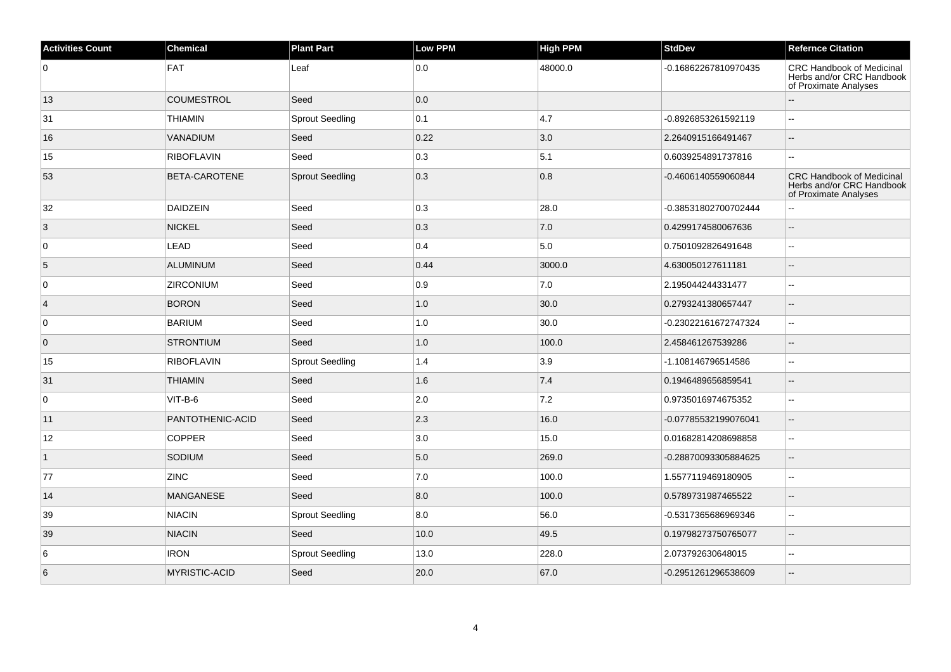| <b>Activities Count</b> | <b>Chemical</b>      | <b>Plant Part</b>      | <b>Low PPM</b> | <b>High PPM</b> | <b>StdDev</b>        | <b>Refernce Citation</b>                                                               |
|-------------------------|----------------------|------------------------|----------------|-----------------|----------------------|----------------------------------------------------------------------------------------|
| 0                       | FAT                  | Leaf                   | 0.0            | 48000.0         | -0.16862267810970435 | <b>CRC Handbook of Medicinal</b><br>Herbs and/or CRC Handbook<br>of Proximate Analyses |
| 13                      | <b>COUMESTROL</b>    | Seed                   | 0.0            |                 |                      |                                                                                        |
| 31                      | <b>THIAMIN</b>       | <b>Sprout Seedling</b> | 0.1            | 4.7             | -0.8926853261592119  | $\overline{\phantom{a}}$                                                               |
| 16                      | VANADIUM             | Seed                   | 0.22           | 3.0             | 2.2640915166491467   | $\sim$                                                                                 |
| 15                      | <b>RIBOFLAVIN</b>    | Seed                   | 0.3            | 5.1             | 0.6039254891737816   | $\sim$                                                                                 |
| 53                      | BETA-CAROTENE        | <b>Sprout Seedling</b> | 0.3            | 0.8             | -0.4606140559060844  | <b>CRC Handbook of Medicinal</b><br>Herbs and/or CRC Handbook<br>of Proximate Analyses |
| 32                      | DAIDZEIN             | Seed                   | 0.3            | 28.0            | -0.38531802700702444 |                                                                                        |
| $\overline{3}$          | <b>NICKEL</b>        | Seed                   | 0.3            | 7.0             | 0.4299174580067636   | $\overline{a}$                                                                         |
| 0                       | LEAD                 | Seed                   | 0.4            | 5.0             | 0.7501092826491648   | $\ddotsc$                                                                              |
| 5                       | <b>ALUMINUM</b>      | Seed                   | 0.44           | 3000.0          | 4.630050127611181    | $\overline{a}$                                                                         |
| 0                       | <b>ZIRCONIUM</b>     | Seed                   | 0.9            | 7.0             | 2.195044244331477    | $\sim$                                                                                 |
| $\overline{4}$          | <b>BORON</b>         | Seed                   | 1.0            | 30.0            | 0.2793241380657447   | $\overline{\phantom{a}}$                                                               |
| $\overline{0}$          | <b>BARIUM</b>        | Seed                   | 1.0            | 30.0            | -0.23022161672747324 | $\sim$                                                                                 |
| $\overline{0}$          | <b>STRONTIUM</b>     | Seed                   | 1.0            | 100.0           | 2.458461267539286    | $\sim$                                                                                 |
| 15                      | <b>RIBOFLAVIN</b>    | <b>Sprout Seedling</b> | 1.4            | 3.9             | -1.108146796514586   | $\mathbf{u}$                                                                           |
| 31                      | <b>THIAMIN</b>       | Seed                   | 1.6            | 7.4             | 0.1946489656859541   | $\sim$                                                                                 |
| $\overline{0}$          | $VIT-B-6$            | Seed                   | 2.0            | 7.2             | 0.9735016974675352   | $\ddotsc$                                                                              |
| 11                      | PANTOTHENIC-ACID     | Seed                   | 2.3            | 16.0            | -0.07785532199076041 | $\overline{\phantom{a}}$                                                               |
| 12                      | <b>COPPER</b>        | Seed                   | 3.0            | 15.0            | 0.01682814208698858  | $\overline{\phantom{a}}$                                                               |
| $\overline{1}$          | SODIUM               | Seed                   | 5.0            | 269.0           | -0.28870093305884625 | $\overline{\phantom{a}}$                                                               |
| 77                      | <b>ZINC</b>          | Seed                   | 7.0            | 100.0           | 1.5577119469180905   | $\sim$                                                                                 |
| 14                      | <b>MANGANESE</b>     | Seed                   | 8.0            | 100.0           | 0.5789731987465522   |                                                                                        |
| 39                      | <b>NIACIN</b>        | <b>Sprout Seedling</b> | 8.0            | 56.0            | -0.5317365686969346  | $\mathcal{L}_{\mathcal{F}}$                                                            |
| 39                      | <b>NIACIN</b>        | Seed                   | 10.0           | 49.5            | 0.19798273750765077  | $\overline{a}$                                                                         |
| 6                       | <b>IRON</b>          | <b>Sprout Seedling</b> | 13.0           | 228.0           | 2.073792630648015    | $\sim$                                                                                 |
| 6                       | <b>MYRISTIC-ACID</b> | Seed                   | 20.0           | 67.0            | -0.2951261296538609  | L.                                                                                     |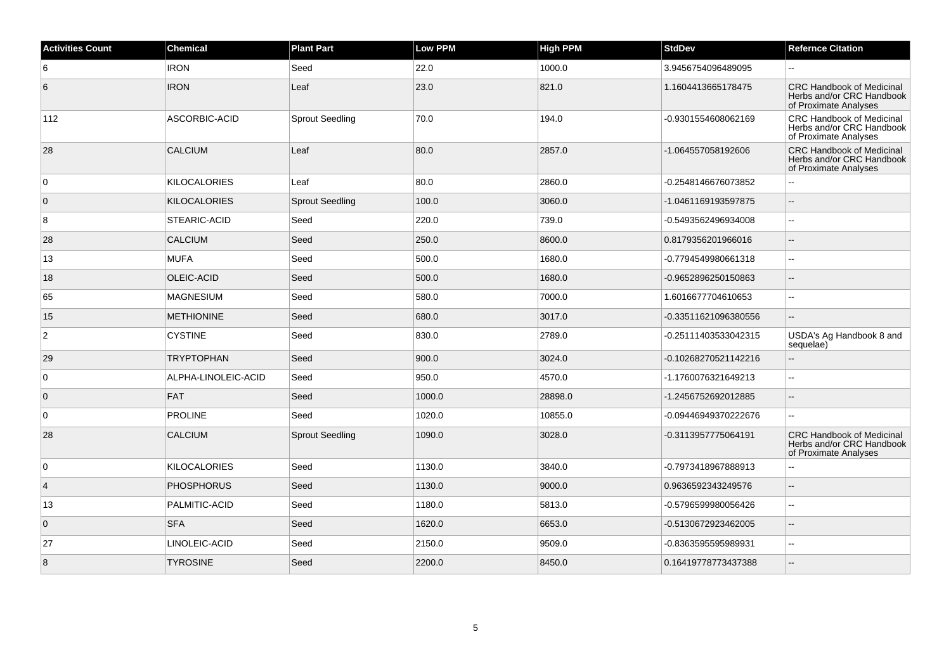| <b>Activities Count</b> | Chemical            | <b>Plant Part</b>      | <b>Low PPM</b> | <b>High PPM</b> | <b>StdDev</b>        | <b>Refernce Citation</b>                                                               |
|-------------------------|---------------------|------------------------|----------------|-----------------|----------------------|----------------------------------------------------------------------------------------|
| 6                       | <b>IRON</b>         | Seed                   | 22.0           | 1000.0          | 3.9456754096489095   |                                                                                        |
| 6                       | <b>IRON</b>         | Leaf                   | 23.0           | 821.0           | 1.1604413665178475   | <b>CRC Handbook of Medicinal</b><br>Herbs and/or CRC Handbook<br>of Proximate Analyses |
| 112                     | ASCORBIC-ACID       | <b>Sprout Seedling</b> | 70.0           | 194.0           | -0.9301554608062169  | <b>CRC Handbook of Medicinal</b><br>Herbs and/or CRC Handbook<br>of Proximate Analyses |
| 28                      | <b>CALCIUM</b>      | Leaf                   | 80.0           | 2857.0          | -1.064557058192606   | <b>CRC Handbook of Medicinal</b><br>Herbs and/or CRC Handbook<br>of Proximate Analyses |
| 0                       | <b>KILOCALORIES</b> | Leaf                   | 80.0           | 2860.0          | -0.2548146676073852  | $\sim$                                                                                 |
| $\overline{0}$          | <b>KILOCALORIES</b> | <b>Sprout Seedling</b> | 100.0          | 3060.0          | -1.0461169193597875  | $\sim$                                                                                 |
| 8                       | STEARIC-ACID        | Seed                   | 220.0          | 739.0           | -0.5493562496934008  | $\sim$                                                                                 |
| 28                      | <b>CALCIUM</b>      | Seed                   | 250.0          | 8600.0          | 0.8179356201966016   | $\sim$                                                                                 |
| 13                      | <b>MUFA</b>         | Seed                   | 500.0          | 1680.0          | -0.7794549980661318  | $\sim$                                                                                 |
| 18                      | OLEIC-ACID          | Seed                   | 500.0          | 1680.0          | -0.9652896250150863  | $\overline{\phantom{a}}$                                                               |
| 65                      | <b>MAGNESIUM</b>    | Seed                   | 580.0          | 7000.0          | 1.6016677704610653   | $\sim$                                                                                 |
| 15                      | <b>METHIONINE</b>   | Seed                   | 680.0          | 3017.0          | -0.33511621096380556 |                                                                                        |
| 2                       | <b>CYSTINE</b>      | Seed                   | 830.0          | 2789.0          | -0.25111403533042315 | USDA's Ag Handbook 8 and<br>sequelae)                                                  |
| 29                      | <b>TRYPTOPHAN</b>   | Seed                   | 900.0          | 3024.0          | -0.10268270521142216 | $\overline{\phantom{a}}$                                                               |
| 0                       | ALPHA-LINOLEIC-ACID | Seed                   | 950.0          | 4570.0          | -1.1760076321649213  | $\ddotsc$                                                                              |
| $\mathbf 0$             | <b>FAT</b>          | Seed                   | 1000.0         | 28898.0         | -1.2456752692012885  | $\sim$                                                                                 |
| $\mathbf 0$             | <b>PROLINE</b>      | Seed                   | 1020.0         | 10855.0         | -0.09446949370222676 | $\overline{a}$                                                                         |
| 28                      | <b>CALCIUM</b>      | <b>Sprout Seedling</b> | 1090.0         | 3028.0          | -0.3113957775064191  | <b>CRC Handbook of Medicinal</b><br>Herbs and/or CRC Handbook<br>of Proximate Analyses |
| 0                       | <b>KILOCALORIES</b> | Seed                   | 1130.0         | 3840.0          | -0.7973418967888913  | $\sim$                                                                                 |
| $\overline{4}$          | <b>PHOSPHORUS</b>   | Seed                   | 1130.0         | 9000.0          | 0.9636592343249576   | $\mathbf{L}$                                                                           |
| 13                      | PALMITIC-ACID       | Seed                   | 1180.0         | 5813.0          | -0.5796599980056426  | $\sim$                                                                                 |
| $\mathbf 0$             | <b>SFA</b>          | Seed                   | 1620.0         | 6653.0          | -0.5130672923462005  | $\overline{\phantom{a}}$                                                               |
| 27                      | LINOLEIC-ACID       | Seed                   | 2150.0         | 9509.0          | -0.8363595595989931  | $\sim$                                                                                 |
| 8                       | <b>TYROSINE</b>     | Seed                   | 2200.0         | 8450.0          | 0.16419778773437388  |                                                                                        |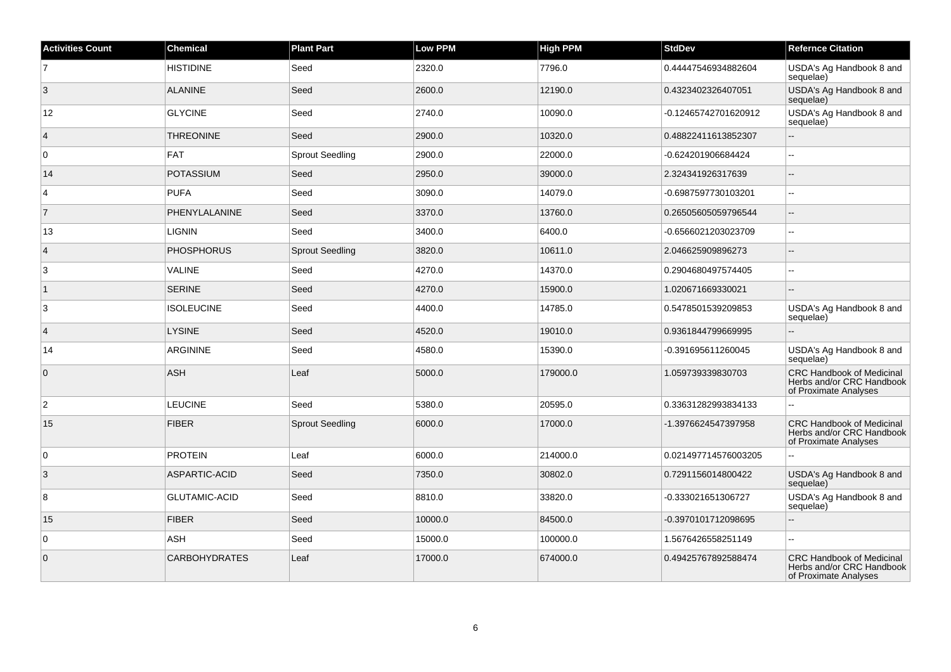| <b>Activities Count</b> | <b>Chemical</b>      | <b>Plant Part</b>      | <b>Low PPM</b> | <b>High PPM</b> | <b>StdDev</b>        | <b>Refernce Citation</b>                                                               |
|-------------------------|----------------------|------------------------|----------------|-----------------|----------------------|----------------------------------------------------------------------------------------|
| $\overline{7}$          | <b>HISTIDINE</b>     | Seed                   | 2320.0         | 7796.0          | 0.44447546934882604  | USDA's Ag Handbook 8 and<br>sequelae)                                                  |
| 3                       | <b>ALANINE</b>       | Seed                   | 2600.0         | 12190.0         | 0.4323402326407051   | USDA's Ag Handbook 8 and<br>sequelae)                                                  |
| 12                      | <b>GLYCINE</b>       | Seed                   | 2740.0         | 10090.0         | -0.12465742701620912 | USDA's Ag Handbook 8 and<br>sequelae)                                                  |
| $\overline{4}$          | <b>THREONINE</b>     | Seed                   | 2900.0         | 10320.0         | 0.48822411613852307  | цL,                                                                                    |
| $\overline{0}$          | FAT                  | <b>Sprout Seedling</b> | 2900.0         | 22000.0         | -0.624201906684424   | $\sim$                                                                                 |
| 14                      | <b>POTASSIUM</b>     | Seed                   | 2950.0         | 39000.0         | 2.324341926317639    | $\sim$                                                                                 |
| $\overline{4}$          | <b>PUFA</b>          | Seed                   | 3090.0         | 14079.0         | -0.6987597730103201  | $\overline{\phantom{a}}$                                                               |
| $\overline{7}$          | PHENYLALANINE        | Seed                   | 3370.0         | 13760.0         | 0.26505605059796544  |                                                                                        |
| 13                      | <b>LIGNIN</b>        | Seed                   | 3400.0         | 6400.0          | -0.6566021203023709  | $\overline{\phantom{a}}$                                                               |
| $\overline{4}$          | <b>PHOSPHORUS</b>    | <b>Sprout Seedling</b> | 3820.0         | 10611.0         | 2.046625909896273    | $\sim$                                                                                 |
| 3                       | <b>VALINE</b>        | Seed                   | 4270.0         | 14370.0         | 0.2904680497574405   |                                                                                        |
| $\mathbf 1$             | <b>SERINE</b>        | Seed                   | 4270.0         | 15900.0         | 1.020671669330021    | $\sim$                                                                                 |
| 3                       | <b>ISOLEUCINE</b>    | Seed                   | 4400.0         | 14785.0         | 0.5478501539209853   | USDA's Ag Handbook 8 and<br>sequelae)                                                  |
| $\overline{4}$          | <b>LYSINE</b>        | Seed                   | 4520.0         | 19010.0         | 0.9361844799669995   |                                                                                        |
| 14                      | <b>ARGININE</b>      | Seed                   | 4580.0         | 15390.0         | -0.391695611260045   | USDA's Ag Handbook 8 and<br>sequelae)                                                  |
| $\overline{0}$          | <b>ASH</b>           | Leaf                   | 5000.0         | 179000.0        | 1.059739339830703    | <b>CRC Handbook of Medicinal</b><br>Herbs and/or CRC Handbook<br>of Proximate Analyses |
| $\overline{2}$          | <b>LEUCINE</b>       | Seed                   | 5380.0         | 20595.0         | 0.33631282993834133  | Ц.                                                                                     |
| 15                      | <b>FIBER</b>         | <b>Sprout Seedling</b> | 6000.0         | 17000.0         | -1.3976624547397958  | <b>CRC Handbook of Medicinal</b><br>Herbs and/or CRC Handbook<br>of Proximate Analyses |
| $\overline{0}$          | <b>PROTEIN</b>       | Leaf                   | 6000.0         | 214000.0        | 0.021497714576003205 | $\sim$                                                                                 |
| $\overline{3}$          | ASPARTIC-ACID        | Seed                   | 7350.0         | 30802.0         | 0.7291156014800422   | USDA's Ag Handbook 8 and<br>sequelae)                                                  |
| 8                       | <b>GLUTAMIC-ACID</b> | Seed                   | 8810.0         | 33820.0         | -0.333021651306727   | USDA's Ag Handbook 8 and<br>sequelae)                                                  |
| 15                      | <b>FIBER</b>         | Seed                   | 10000.0        | 84500.0         | -0.3970101712098695  |                                                                                        |
| $\overline{0}$          | ASH                  | Seed                   | 15000.0        | 100000.0        | 1.5676426558251149   | $\sim$                                                                                 |
| $\overline{0}$          | <b>CARBOHYDRATES</b> | Leaf                   | 17000.0        | 674000.0        | 0.49425767892588474  | CRC Handbook of Medicinal<br>Herbs and/or CRC Handbook<br>of Proximate Analyses        |